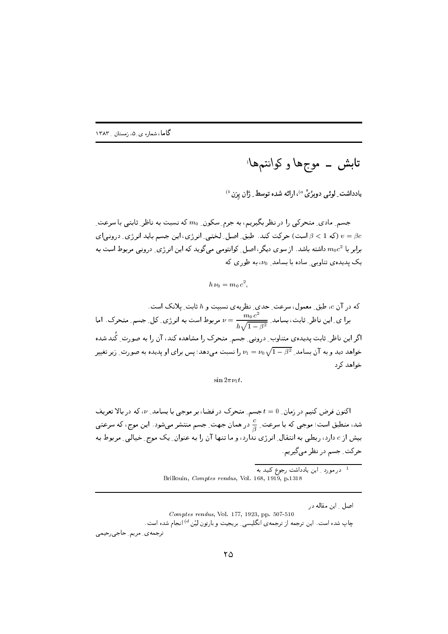یادداشت ِ لوئے ِ دوبرُیْ <sup>۵)</sup>، ارائه شده توسط ِ ژان پرَن<sup>6)</sup>

جسم ِ مادی ِ متحرکی را در نظر بگیریم، به جرم ِ سکون ِ 700 که نسبت به ناظر ِ ثابتی با سرعت ِ است) جرکت کند. طبق اصل لختی انرژی، این جسم باید انرژی درونی ای (ودی در ای برابر با 2 $m_0c^2$  داشته باشد. از سوی دیگر، اصل ِ کوانتومی می گوید که این انرژی ِ درونی مربوط است به یک پدیده ی تناوب<sub>ی ـ</sub> ساده با بسامد ِ *۷*۵، به طور ی که

$$
h\nu_0=m_0c^2,
$$

که در آن  $c$ ، طبق ِ معمول، سرعت ِ حدی ِ نظریهی نسبیت و  $h$  ثابت ِ پلانک است. برا ی ِ این ناظر ِ ثابت، بسامد ِ  $\frac{m_0\,c^2}{\hbar\sqrt{1-\beta^2}}= \nu$  مربوط است به انرژی ِ کل ِ جسم ِ متحرک ِ اما اگر این ناظر ِ ثابت پدیدهی متناوب ِ درونی ِ جسم ِ متحرک را مشاهده کند، آن را به صورت ِ کُند شده خواهد دید و به آن بسامد  $\nu_1 = \nu_0 \sqrt{1-\beta^2}$  را نسبت می دهد؛ پس برای او پدیده به صورت ِ زیر تغییر خواهد کرد

 $\sin 2\pi \nu_1 t$ .

اکنون فرض کنیم در زمان ِ 0 = t جسم ِ متحرک در فضا، بر موجی با بسامد ِ v، که در بالا تعریف شد، منطبق است؛ موجی که با سرعت ِ $\frac{c}{\alpha}$  در همان جهت ِ جسم منتشر میشود. این موج، که سرعتی بیش از c دارد، ربطی به انتقال ِ انرژی ندارد، و ما تنها آن را به عنوان ِ یک موج ِ خیالی ِ مربوط به حرکت ِ جسم در نظر می گیریم.

> -<br><sup>1</sup> در مورد <sub>-</sub> این یادداشت رجوع کنید به Brillouin, *Comptes rendus*, Vol. 168, 1919, p.1318

> > اصل ٍ اين مقاله در

Comptes rendus, Vol. 177, 1923, pp. 507-510

چاپ شده است. این ترجمه از ترجمهی انگلیسی ِ بریجیت و بارتون لِیْن<sup>4)</sup> انجام شده است.

ترجمهي ِ مريم ِ حاجي رحيمي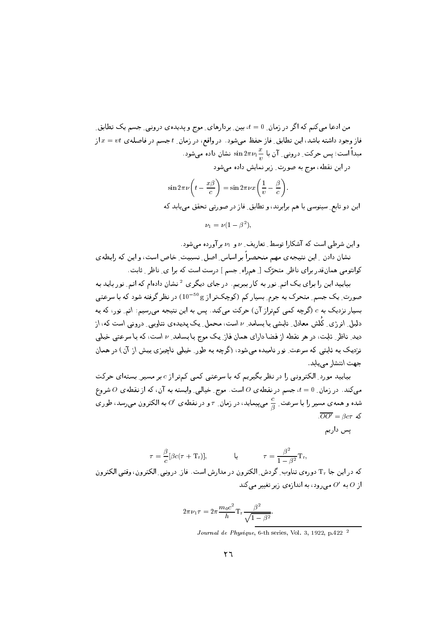من ادعا میکنم که اگر در زمان ِ d = 0، بین ِ بردارهای ِ موج و پدیدهی درونبی ِ جسم یک تطابق ِ فاز وجود داشته باشد، این تطابق ِ فاز حفظ میشود. در واقع، در زمان ِ t جسم در فاصلهی  $x = vt$  از مبداً است؛ پس حرکت ِ درونی ِ آن با $\frac{x}{\bot}$   $\sin 2\pi \nu_1 \frac{x}{\bot}$  نشان داده میشود . در این نقطه، موج به صورت ِ زیر نمایش داده می شود

$$
\sin 2\pi \nu \left( t - \frac{x\beta}{c} \right) = \sin 2\pi \nu x \left( \frac{1}{v} - \frac{\beta}{c} \right).
$$

این دو تابع ِ سینوسی با هم برابرند، و تطابق ِ فاز در صورتی تحقق می یابد که

 $\nu_1 = \nu(1 - \beta^2),$ 

و این شرطی است که آشکارا توسط ِ تعاریف ِ v و v برآورده می شود. نشان دادن \_ اين نتيجهي مهم منحصراً بر اساس ِ اصل ِ نسبيت ِ خاص است، و اين كه رابطهي

كوانتومي همان قدر براي ناظر ِ متحرِّك [ ِ همراه ِ جسم ] درست است كه برا ي ِ ناظر ِ ثابت. بیایید این را برای یک اتم ِ نور به کار ببریم. در جای دیگری <sup>2</sup> نشان دادهام که اتم ِ نور باید به

صورت ِ یک جسم ِ متحرک به جرم ِ بسیار کم (کوچکتر از g <sup>50 –</sup>10) در نظر گرفته شود که با سرعتی بسیار نزدیک به  $c$  (گرچه کمی کمتراز آن) حرکت میکند. پس به این نتیجه میرسیم: اتم ِ نور، که به دلیل ِ انرژی ِ کُلش معادل ِ تابِشی با بِسامد ِ v است، محمل ِ یک پدیدهی تناوبی ِ درونی است که، از دید ِ ناظر ِ ثابت، در هر نقطه از فضا دارای همان فاز یک موج با بسامد ِ v است، که با سرعتبی خیلبی نزدیک به ثابتی که سرعت ِ نور نامیده می شود، (گرچه به طور ِ خیلمی ناچیزی بیش از آن) در همان جهت انتشار می پابد.

بیایید مورد ِ الکترونی را در نظر بگیریم که با سرعتی کمی کمتر از c بر مسیر ِ بستهای حرکت میکند. در زمان ِ 0 = t، جسم در نقطهی 0 است. موج ِ خیالی ِ وابسته به آن، که از نقطهی 0 شروع شده و همه ی مسیر را با سرعت ِ  $\frac{c}{\beta}$  میپیماید، در زمان ِ  $\tau$  و در نقطه ی  $O'$  به الکترون می $_0$ سد، طوری  $\overline{OO'} = \beta c \tau$  که

یس داریم

$$
\tau = \frac{\beta}{c} [\beta c (\tau + \mathbf{T}_r)], \qquad \qquad \mathbf{Q} \qquad \qquad \tau = \frac{\beta^2}{1 - \beta^2} \mathbf{T}_r
$$

که در این جا Tr دوروی تناوب گردش الکترون در مدارش است. فاز درویی الکترون، وقتی الکترون از 0 به '0 میرود، به اندازهی زیر تغییر میکند

$$
2\pi\nu_1\tau = 2\pi \frac{m_0 c^2}{h} \mathrm{Tr} \frac{\beta^2}{\sqrt{1-\beta^2}}
$$

Journal de Physique, 6-th series, Vol. 3, 1922, p.422<sup>2</sup>